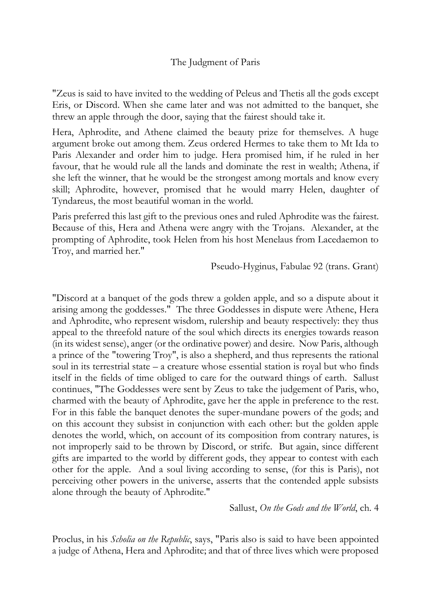## The Judgment of Paris

"Zeus is said to have invited to the wedding of Peleus and Thetis all the gods except Eris, or Discord. When she came later and was not admitted to the banquet, she threw an apple through the door, saying that the fairest should take it.

Hera, Aphrodite, and Athene claimed the beauty prize for themselves. A huge argument broke out among them. Zeus ordered Hermes to take them to Mt Ida to Paris Alexander and order him to judge. Hera promised him, if he ruled in her favour, that he would rule all the lands and dominate the rest in wealth; Athena, if she left the winner, that he would be the strongest among mortals and know every skill; Aphrodite, however, promised that he would marry Helen, daughter of Tyndareus, the most beautiful woman in the world.

Paris preferred this last gift to the previous ones and ruled Aphrodite was the fairest. Because of this, Hera and Athena were angry with the Trojans. Alexander, at the prompting of Aphrodite, took Helen from his host Menelaus from Lacedaemon to Troy, and married her."

Pseudo-Hyginus, Fabulae 92 (trans. Grant)

"Discord at a banquet of the gods threw a golden apple, and so a dispute about it arising among the goddesses." The three Goddesses in dispute were Athene, Hera and Aphrodite, who represent wisdom, rulership and beauty respectively: they thus appeal to the threefold nature of the soul which directs its energies towards reason (in its widest sense), anger (or the ordinative power) and desire. Now Paris, although a prince of the "towering Troy", is also a shepherd, and thus represents the rational soul in its terrestrial state – a creature whose essential station is royal but who finds itself in the fields of time obliged to care for the outward things of earth. Sallust continues, "The Goddesses were sent by Zeus to take the judgement of Paris, who, charmed with the beauty of Aphrodite, gave her the apple in preference to the rest. For in this fable the banquet denotes the super-mundane powers of the gods; and on this account they subsist in conjunction with each other: but the golden apple denotes the world, which, on account of its composition from contrary natures, is not improperly said to be thrown by Discord, or strife. But again, since different gifts are imparted to the world by different gods, they appear to contest with each other for the apple. And a soul living according to sense, (for this is Paris), not perceiving other powers in the universe, asserts that the contended apple subsists alone through the beauty of Aphrodite."

Sallust, *On the Gods and the World*, ch. 4

Proclus, in his *Scholia on the Republic*, says, "Paris also is said to have been appointed a judge of Athena, Hera and Aphrodite; and that of three lives which were proposed